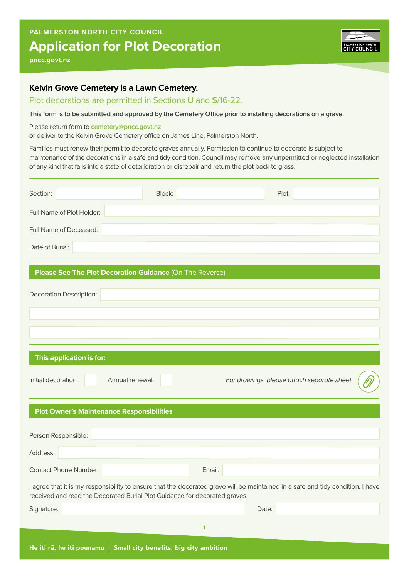## **Application for Plot Decoration PALMERSTON NORTH CITY COUNCIL**



**pncc.govt.nz**

## **Kelvin Grove Cemetery is a Lawn Cemetery.**

## Plot decorations are permitted in Sections **U** and **S**/16-22.

**This form is to be submitted and approved by the Cemetery Office prior to installing decorations on a grave.** 

Please return form to **cemetery@pncc.govt.nz**

or deliver to the Kelvin Grove Cemetery office on James Line, Palmerston North.

Families must renew their permit to decorate graves annually. Permission to continue to decorate is subject to maintenance of the decorations in a safe and tidy condition. Council may remove any unpermitted or neglected installation of any kind that falls into a state of deterioration or disrepair and return the plot back to grass.

| Section:                                                                                                                                                                                                      | Block:       | Plot:                                      |  |  |  |
|---------------------------------------------------------------------------------------------------------------------------------------------------------------------------------------------------------------|--------------|--------------------------------------------|--|--|--|
| Full Name of Plot Holder:                                                                                                                                                                                     |              |                                            |  |  |  |
| Full Name of Deceased:                                                                                                                                                                                        |              |                                            |  |  |  |
| Date of Burial:                                                                                                                                                                                               |              |                                            |  |  |  |
| Please See The Plot Decoration Guidance (On The Reverse)                                                                                                                                                      |              |                                            |  |  |  |
| <b>Decoration Description:</b>                                                                                                                                                                                |              |                                            |  |  |  |
|                                                                                                                                                                                                               |              |                                            |  |  |  |
|                                                                                                                                                                                                               |              |                                            |  |  |  |
| This application is for:                                                                                                                                                                                      |              |                                            |  |  |  |
| Initial decoration:<br>Annual renewal:                                                                                                                                                                        |              | For drawings, please attach separate sheet |  |  |  |
| <b>Plot Owner's Maintenance Responsibilities</b>                                                                                                                                                              |              |                                            |  |  |  |
| Person Responsible:                                                                                                                                                                                           |              |                                            |  |  |  |
| Address:                                                                                                                                                                                                      |              |                                            |  |  |  |
| <b>Contact Phone Number:</b>                                                                                                                                                                                  | Email:       |                                            |  |  |  |
| I agree that it is my responsibility to ensure that the decorated grave will be maintained in a safe and tidy condition. I have<br>received and read the Decorated Burial Plot Guidance for decorated graves. |              |                                            |  |  |  |
| Signature:                                                                                                                                                                                                    |              | Date:                                      |  |  |  |
|                                                                                                                                                                                                               | $\mathbf{1}$ |                                            |  |  |  |
| He iti rā, he iti pounamu   Small city benefits, big city ambition                                                                                                                                            |              |                                            |  |  |  |